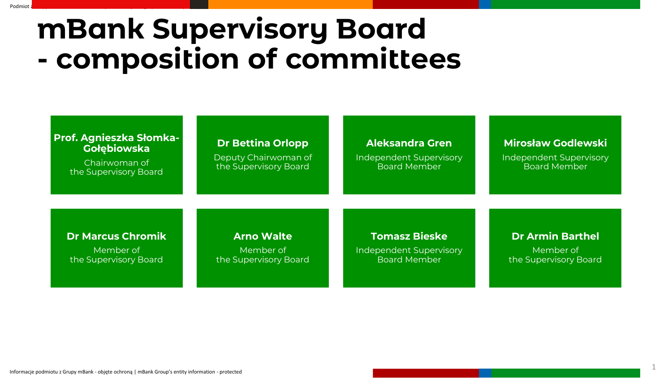## **mBank Supervisory Board - composition of committees**

| <b>Prof. Agnieszka Słomka-</b><br><b>Gołębiowska</b><br>Chairwoman of<br>the Supervisory Board | <b>Dr Bettina Orlopp</b><br>Deputy Chairwoman of<br>the Supervisory Board | <b>Aleksandra Gren</b><br><b>Independent Supervisory</b><br><b>Board Member</b> | <b>Mirosław Godlewski</b><br><b>Independent Supervisory</b><br><b>Board Member</b> |
|------------------------------------------------------------------------------------------------|---------------------------------------------------------------------------|---------------------------------------------------------------------------------|------------------------------------------------------------------------------------|
| <b>Dr Marcus Chromik</b>                                                                       | <b>Arno Walte</b>                                                         | <b>Tomasz Bieske</b>                                                            | <b>Dr Armin Barthel</b>                                                            |
| Member of                                                                                      | Member of                                                                 | <b>Independent Supervisory</b>                                                  | Member of                                                                          |
| the Supervisory Board                                                                          | the Supervisory Board                                                     | Board Member                                                                    | the Supervisory Board                                                              |

Podmiot z Grupy mBank - Służbowe do użytku wewnętrznego i mBank Grupy entity - Business for internal users for